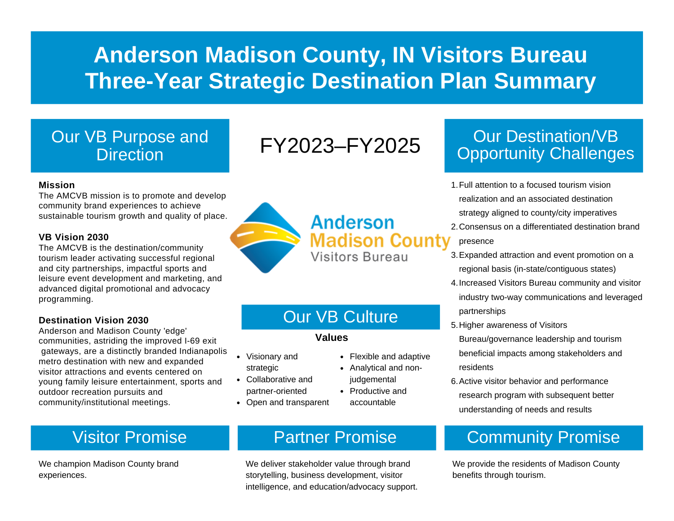# **Anderson Madison County, IN Visitors Bureau Three-Year Strategic Destination Plan Summary**

#### Our VB Purpose and **Direction**

# FY2023–FY2025

#### **Mission**

The AMCVB mission is to promote and develop community brand experiences to achieve sustainable tourism growth and quality of place.

#### **VB Vision 2030**

The AMCVB is the destination/community tourism leader activating successful regional and city partnerships, impactful sports and leisure event development and marketing, and advanced digital promotional and advocacy programming.

#### **Destination Vision 2030**

Anderson and Madison County 'edge' communities, astriding the improved I-69 exit gateways, are a distinctly branded Indianapolis metro destination with new and expanded visitor attractions and events centered on young family leisure entertainment, sports and outdoor recreation pursuits and community/institutional meetings.

We champion Madison County brand experiences.

## **Anderson Madison County** Visitors Bureau

## Our VB Culture

Flexible and adaptive Analytical and nonjudgemental • Productive and accountable

#### **Values**

- Visionary and strategic
- Collaborative and partner-oriented
- Open and transparent

### Visitor Promise **Partner Promise**

We deliver stakeholder value through brand storytelling, business development, visitor intelligence, and education/advocacy support.

## Our Destination/VB Opportunity Challenges

- Full attention to a focused tourism vision 1. realization and an associated destination strategy aligned to county/city imperatives
- Consensus on a differentiated destination brand 2. presence
- Expanded attraction and event promotion on a 3. regional basis (in-state/contiguous states)
- 4. Increased Visitors Bureau community and visitor industry two-way communications and leveraged partnerships
- 5. Higher awareness of Visitors Bureau/governance leadership and tourism beneficial impacts among stakeholders and residents
- 6. Active visitor behavior and performance research program with subsequent better understanding of needs and results

## Community Promise

We provide the residents of Madison County benefits through tourism.